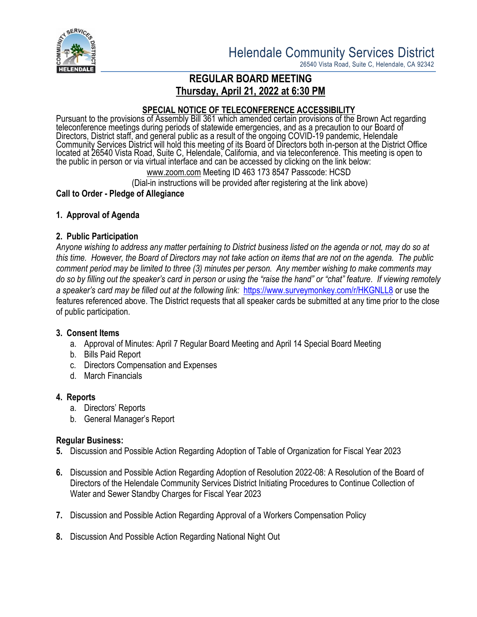

26540 Vista Road, Suite C, Helendale, CA 92342

# **REGULAR BOARD MEETING Thursday, April 21, 2022 at 6:30 PM**

## **SPECIAL NOTICE OF TELECONFERENCE ACCESSIBILITY**

Pursuant to the provisions of Assembly Bill 361 which amended certain provisions of the Brown Act regarding teleconference meetings during periods of statewide emergencies, and as a precaution to our Board of Directors, District staff, and general public as a result of the ongoing COVID-19 pandemic, Helendale Community Services District will hold this meeting of its Board of Directors both in-person at the District Office located at 26540 Vista Road, Suite C, Helendale, California, and via teleconference. This meeting is open to the public in person or via virtual interface and can be accessed by clicking on the link below:

[www.zoom.com](http://www.zoom.com/) Meeting ID 463 173 8547 Passcode: HCSD

(Dial-in instructions will be provided after registering at the link above)

### **Call to Order - Pledge of Allegiance**

### **1. Approval of Agenda**

### **2. Public Participation**

*Anyone wishing to address any matter pertaining to District business listed on the agenda or not, may do so at this time. However, the Board of Directors may not take action on items that are not on the agenda. The public comment period may be limited to three (3) minutes per person. Any member wishing to make comments may do so by filling out the speaker's card in person or using the "raise the hand" or "chat" feature. If viewing remotely a speaker's card may be filled out at the following link:* <https://www.surveymonkey.com/r/HKGNLL8> or use the features referenced above. The District requests that all speaker cards be submitted at any time prior to the close of public participation.

### **3. Consent Items**

- a. Approval of Minutes: April 7 Regular Board Meeting and April 14 Special Board Meeting
- b. Bills Paid Report
- c. Directors Compensation and Expenses
- d. March Financials

### **4. Reports**

- a. Directors' Reports
- b. General Manager's Report

### **Regular Business:**

- **5.** Discussion and Possible Action Regarding Adoption of Table of Organization for Fiscal Year 2023
- **6.** Discussion and Possible Action Regarding Adoption of Resolution 2022-08: A Resolution of the Board of Directors of the Helendale Community Services District Initiating Procedures to Continue Collection of Water and Sewer Standby Charges for Fiscal Year 2023
- **7.** Discussion and Possible Action Regarding Approval of a Workers Compensation Policy
- **8.** Discussion And Possible Action Regarding National Night Out